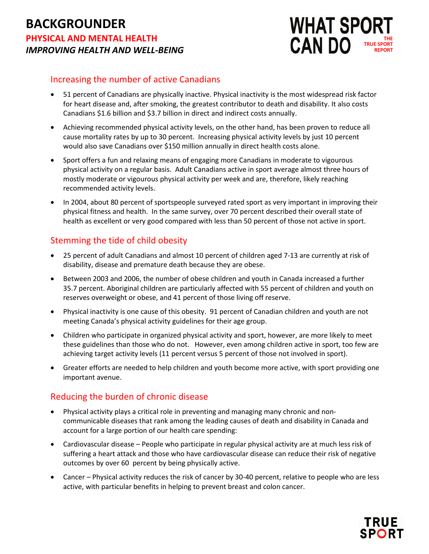# **BACKGROUNDER PHYSICAL AND MENTAL HEALTH** *IMPROVING HEALTH AND WELL-BEING*



#### Increasing the number of active Canadians

- 51 percent of Canadians are physically inactive. Physical inactivity is the most widespread risk factor for heart disease and, after smoking, the greatest contributor to death and disability. It also costs Canadians \$1.6 billion and \$3.7 billion in direct and indirect costs annually.
- Achieving recommended physical activity levels, on the other hand, has been proven to reduce all cause mortality rates by up to 30 percent. Increasing physical activity levels by just 10 percent would also save Canadians over \$150 million annually in direct health costs alone.
- Sport offers a fun and relaxing means of engaging more Canadians in moderate to vigourous physical activity on a regular basis. Adult Canadians active in sport average almost three hours of mostly moderate or vigourous physical activity per week and are, therefore, likely reaching recommended activity levels.
- In 2004, about 80 percent of sportspeople surveyed rated sport as very important in improving their physical fitness and health. In the same survey, over 70 percent described their overall state of health as excellent or very good compared with less than 50 percent of those not active in sport.

## Stemming the tide of child obesity

- 25 percent of adult Canadians and almost 10 percent of children aged 7-13 are currently at risk of disability, disease and premature death because they are obese.
- Between 2003 and 2006, the number of obese children and youth in Canada increased a further 35.7 percent. Aboriginal children are particularly affected with 55 percent of children and youth on reserves overweight or obese, and 41 percent of those living off reserve.
- Physical inactivity is one cause of this obesity. 91 percent of Canadian children and youth are not meeting Canada's physical activity guidelines for their age group.
- Children who participate in organized physical activity and sport, however, are more likely to meet these guidelines than those who do not. However, even among children active in sport, too few are achieving target activity levels (11 percent versus 5 percent of those not involved in sport).
- Greater efforts are needed to help children and youth become more active, with sport providing one important avenue.

## Reducing the burden of chronic disease

- Physical activity plays a critical role in preventing and managing many chronic and noncommunicable diseases that rank among the leading causes of death and disability in Canada and account for a large portion of our health care spending:
- Cardiovascular disease People who participate in regular physical activity are at much less risk of suffering a heart attack and those who have cardiovascular disease can reduce their risk of negative outcomes by over 60 percent by being physically active.
- Cancer Physical activity reduces the risk of cancer by 30-40 percent, relative to people who are less active, with particular benefits in helping to prevent breast and colon cancer.